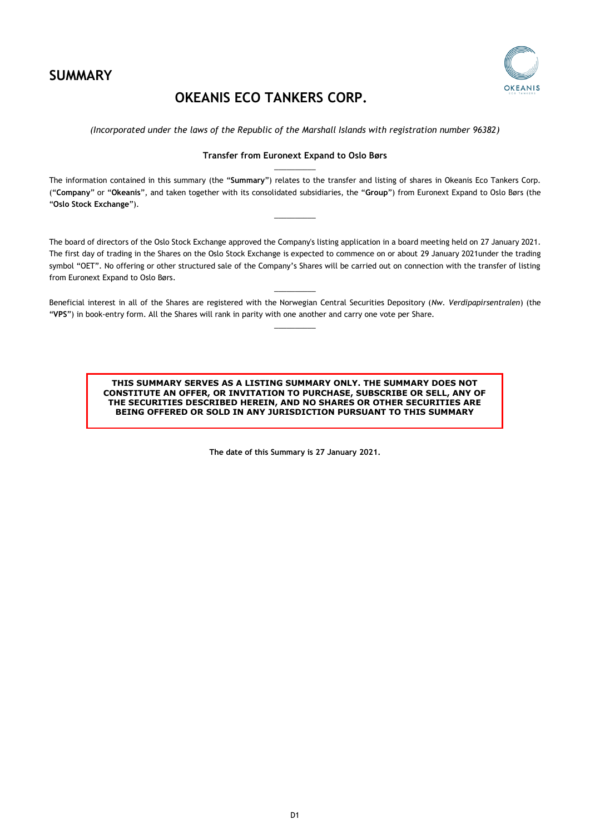

## **OKEANIS ECO TANKERS CORP.**



*(Incorporated under the laws of the Republic of the Marshall Islands with registration number 96382)* 

## **Transfer from Euronext Expand to Oslo Børs**  $\overline{\phantom{a}}$  , where  $\overline{\phantom{a}}$

The information contained in this summary (the "**Summary**") relates to the transfer and listing of shares in Okeanis Eco Tankers Corp. ("**Company**" or "**Okeanis**", and taken together with its consolidated subsidiaries, the "**Group**") from Euronext Expand to Oslo Børs (the "**Oslo Stock Exchange**").

 $\overline{\phantom{a}}$ 

The board of directors of the Oslo Stock Exchange approved the Company's listing application in a board meeting held on 27 January 2021. The first day of trading in the Shares on the Oslo Stock Exchange is expected to commence on or about 29 January 2021under the trading symbol "OET". No offering or other structured sale of the Company's Shares will be carried out on connection with the transfer of listing from Euronext Expand to Oslo Børs.

 $\overline{\phantom{a}}$  , where  $\overline{\phantom{a}}$ Beneficial interest in all of the Shares are registered with the Norwegian Central Securities Depository (*Nw. Verdipapirsentralen*) (the "**VPS**") in book-entry form. All the Shares will rank in parity with one another and carry one vote per Share.  $\overline{\phantom{a}}$  , where  $\overline{\phantom{a}}$ 

> **THIS SUMMARY SERVES AS A LISTING SUMMARY ONLY. THE SUMMARY DOES NOT CONSTITUTE AN OFFER, OR INVITATION TO PURCHASE, SUBSCRIBE OR SELL, ANY OF THE SECURITIES DESCRIBED HEREIN, AND NO SHARES OR OTHER SECURITIES ARE BEING OFFERED OR SOLD IN ANY JURISDICTION PURSUANT TO THIS SUMMARY**

> > **The date of this Summary is 27 January 2021.**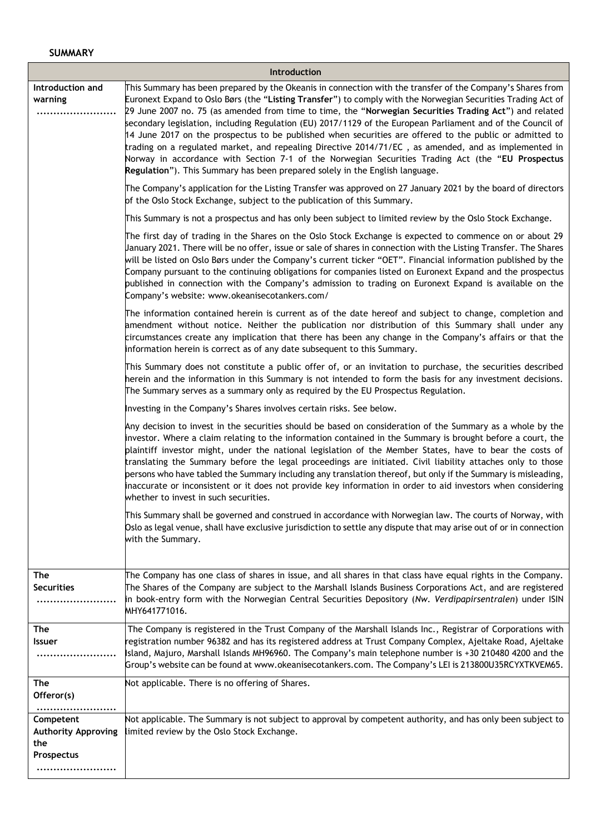| <b>Introduction</b>                                          |                                                                                                                                                                                                                                                                                                                                                                                                                                                                                                                                                                                                                                                                                                                                                                                                                                                             |
|--------------------------------------------------------------|-------------------------------------------------------------------------------------------------------------------------------------------------------------------------------------------------------------------------------------------------------------------------------------------------------------------------------------------------------------------------------------------------------------------------------------------------------------------------------------------------------------------------------------------------------------------------------------------------------------------------------------------------------------------------------------------------------------------------------------------------------------------------------------------------------------------------------------------------------------|
| Introduction and<br>warning<br>                              | This Summary has been prepared by the Okeanis in connection with the transfer of the Company's Shares from<br>Euronext Expand to Oslo Børs (the "Listing Transfer") to comply with the Norwegian Securities Trading Act of<br>29 June 2007 no. 75 (as amended from time to time, the "Norwegian Securities Trading Act") and related<br>secondary legislation, including Regulation (EU) 2017/1129 of the European Parliament and of the Council of<br>14 June 2017 on the prospectus to be published when securities are offered to the public or admitted to<br>trading on a regulated market, and repealing Directive 2014/71/EC, as amended, and as implemented in<br>Norway in accordance with Section 7-1 of the Norwegian Securities Trading Act (the "EU Prospectus<br>Regulation"). This Summary has been prepared solely in the English language. |
|                                                              | The Company's application for the Listing Transfer was approved on 27 January 2021 by the board of directors<br>of the Oslo Stock Exchange, subject to the publication of this Summary.                                                                                                                                                                                                                                                                                                                                                                                                                                                                                                                                                                                                                                                                     |
|                                                              | This Summary is not a prospectus and has only been subject to limited review by the Oslo Stock Exchange.                                                                                                                                                                                                                                                                                                                                                                                                                                                                                                                                                                                                                                                                                                                                                    |
|                                                              | The first day of trading in the Shares on the Oslo Stock Exchange is expected to commence on or about 29<br>January 2021. There will be no offer, issue or sale of shares in connection with the Listing Transfer. The Shares<br>will be listed on Oslo Børs under the Company's current ticker "OET". Financial information published by the<br>Company pursuant to the continuing obligations for companies listed on Euronext Expand and the prospectus<br>published in connection with the Company's admission to trading on Euronext Expand is available on the<br>Company's website: www.okeanisecotankers.com/                                                                                                                                                                                                                                       |
|                                                              | The information contained herein is current as of the date hereof and subject to change, completion and<br>amendment without notice. Neither the publication nor distribution of this Summary shall under any<br>circumstances create any implication that there has been any change in the Company's affairs or that the<br>information herein is correct as of any date subsequent to this Summary.                                                                                                                                                                                                                                                                                                                                                                                                                                                       |
|                                                              | This Summary does not constitute a public offer of, or an invitation to purchase, the securities described<br>herein and the information in this Summary is not intended to form the basis for any investment decisions.<br>The Summary serves as a summary only as required by the EU Prospectus Regulation.                                                                                                                                                                                                                                                                                                                                                                                                                                                                                                                                               |
|                                                              | Investing in the Company's Shares involves certain risks. See below.                                                                                                                                                                                                                                                                                                                                                                                                                                                                                                                                                                                                                                                                                                                                                                                        |
|                                                              | Any decision to invest in the securities should be based on consideration of the Summary as a whole by the<br>investor. Where a claim relating to the information contained in the Summary is brought before a court, the<br>plaintiff investor might, under the national legislation of the Member States, have to bear the costs of<br>translating the Summary before the legal proceedings are initiated. Civil liability attaches only to those<br>persons who have tabled the Summary including any translation thereof, but only if the Summary is misleading,<br>inaccurate or inconsistent or it does not provide key information in order to aid investors when considering<br>whether to invest in such securities.                                                                                                                               |
|                                                              | This Summary shall be governed and construed in accordance with Norwegian law. The courts of Norway, with<br>Oslo as legal venue, shall have exclusive jurisdiction to settle any dispute that may arise out of or in connection<br>with the Summary.                                                                                                                                                                                                                                                                                                                                                                                                                                                                                                                                                                                                       |
| The<br><b>Securities</b>                                     | The Company has one class of shares in issue, and all shares in that class have equal rights in the Company.<br>The Shares of the Company are subject to the Marshall Islands Business Corporations Act, and are registered<br>in book-entry form with the Norwegian Central Securities Depository (Nw. Verdipapirsentralen) under ISIN<br>MHY641771016.                                                                                                                                                                                                                                                                                                                                                                                                                                                                                                    |
| <b>The</b><br><b>Issuer</b>                                  | The Company is registered in the Trust Company of the Marshall Islands Inc., Registrar of Corporations with<br>registration number 96382 and has its registered address at Trust Company Complex, Ajeltake Road, Ajeltake<br>Island, Majuro, Marshall Islands MH96960. The Company's main telephone number is +30 210480 4200 and the<br>Group's website can be found at www.okeanisecotankers.com. The Company's LEI is 213800U35RCYXTKVEM65.                                                                                                                                                                                                                                                                                                                                                                                                              |
| The<br>Offeror(s)<br>                                        | Not applicable. There is no offering of Shares.                                                                                                                                                                                                                                                                                                                                                                                                                                                                                                                                                                                                                                                                                                                                                                                                             |
| Competent<br><b>Authority Approving</b><br>the<br>Prospectus | Not applicable. The Summary is not subject to approval by competent authority, and has only been subject to<br>limited review by the Oslo Stock Exchange.                                                                                                                                                                                                                                                                                                                                                                                                                                                                                                                                                                                                                                                                                                   |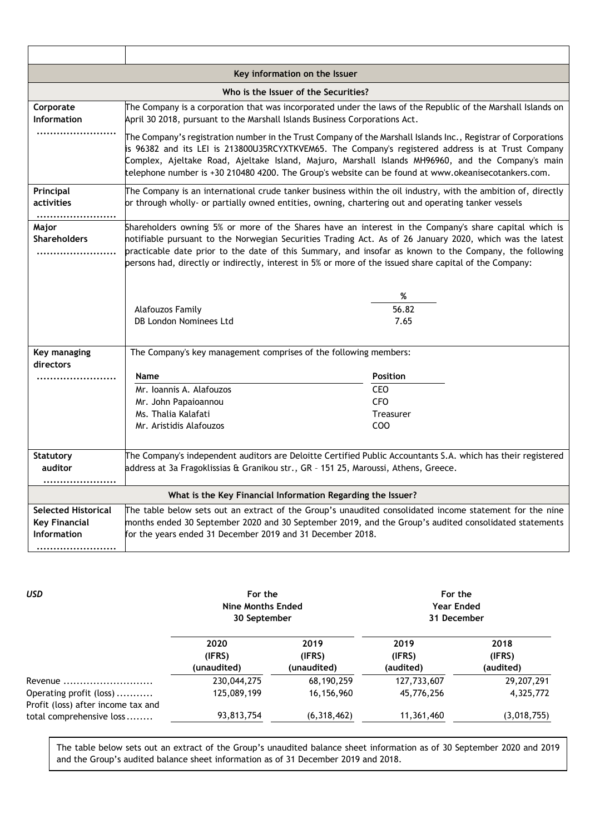| Key information on the Issuer                                     |                                                                                                                                                                                                                                                                                                                                                                                                                                        |                                                                                    |
|-------------------------------------------------------------------|----------------------------------------------------------------------------------------------------------------------------------------------------------------------------------------------------------------------------------------------------------------------------------------------------------------------------------------------------------------------------------------------------------------------------------------|------------------------------------------------------------------------------------|
| Who is the Issuer of the Securities?                              |                                                                                                                                                                                                                                                                                                                                                                                                                                        |                                                                                    |
| Corporate<br>Information                                          | The Company is a corporation that was incorporated under the laws of the Republic of the Marshall Islands on<br>April 30 2018, pursuant to the Marshall Islands Business Corporations Act.                                                                                                                                                                                                                                             |                                                                                    |
|                                                                   | The Company's registration number in the Trust Company of the Marshall Islands Inc., Registrar of Corporations<br>is 96382 and its LEI is 213800U35RCYXTKVEM65. The Company's registered address is at Trust Company<br>Complex, Ajeltake Road, Ajeltake Island, Majuro, Marshall Islands MH96960, and the Company's main<br>telephone number is +30 210480 4200. The Group's website can be found at www.okeanisecotankers.com.       |                                                                                    |
| Principal<br>activities<br>                                       | The Company is an international crude tanker business within the oil industry, with the ambition of, directly<br>or through wholly- or partially owned entities, owning, chartering out and operating tanker vessels                                                                                                                                                                                                                   |                                                                                    |
| Major<br><b>Shareholders</b>                                      | Shareholders owning 5% or more of the Shares have an interest in the Company's share capital which is<br>notifiable pursuant to the Norwegian Securities Trading Act. As of 26 January 2020, which was the latest<br>practicable date prior to the date of this Summary, and insofar as known to the Company, the following<br>persons had, directly or indirectly, interest in 5% or more of the issued share capital of the Company: |                                                                                    |
|                                                                   | Alafouzos Family<br>DB London Nominees Ltd                                                                                                                                                                                                                                                                                                                                                                                             | %<br>56.82<br>7.65                                                                 |
| Key managing<br>directors                                         | The Company's key management comprises of the following members:                                                                                                                                                                                                                                                                                                                                                                       |                                                                                    |
|                                                                   | Name<br>Mr. Ioannis A. Alafouzos<br>Mr. John Papaioannou<br>Ms. Thalia Kalafati<br>Mr. Aristidis Alafouzos                                                                                                                                                                                                                                                                                                                             | <b>Position</b><br><b>CEO</b><br><b>CFO</b><br><b>Treasurer</b><br>CO <sub>O</sub> |
| <b>Statutory</b><br>auditor                                       | The Company's independent auditors are Deloitte Certified Public Accountants S.A. which has their registered<br>address at 3a Fragoklissias & Granikou str., GR - 151 25, Maroussi, Athens, Greece.                                                                                                                                                                                                                                    |                                                                                    |
|                                                                   | What is the Key Financial Information Regarding the Issuer?                                                                                                                                                                                                                                                                                                                                                                            |                                                                                    |
| <b>Selected Historical</b><br><b>Key Financial</b><br>Information | The table below sets out an extract of the Group's unaudited consolidated income statement for the nine<br>months ended 30 September 2020 and 30 September 2019, and the Group's audited consolidated statements<br>for the years ended 31 December 2019 and 31 December 2018.                                                                                                                                                         |                                                                                    |

*USD* **For the Nine Months Ended 30 September For the Year Ended 31 December 2020 (IFRS) (unaudited) 2019 (IFRS) (unaudited) 2019 (IFRS) (audited) 2018 (IFRS) (audited)** Revenue ........................... 230,044,275 68,190,259 127,733,607 29,207,291 Operating profit (loss) ........... 125,089,199 16,156,960 45,776,256 4,325,772 Profit (loss) after income tax and total comprehensive loss ........ 93,813,754 (6,318,462) 11,361,460 (3,018,755)

The table below sets out an extract of the Group's unaudited balance sheet information as of 30 September 2020 and 2019 and the Group's audited balance sheet information as of 31 December 2019 and 2018.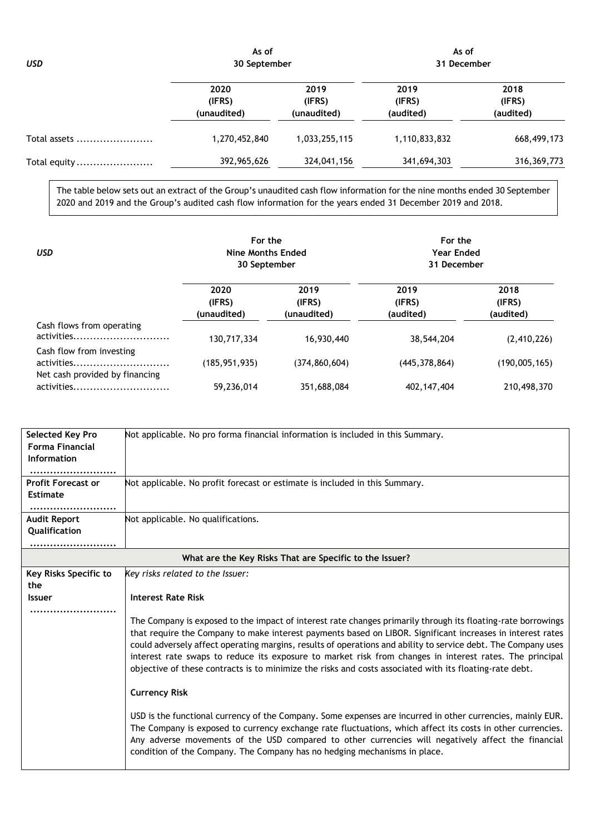*USD* **As of 30 September As of 31 December 2020 (IFRS) (unaudited) 2019 (IFRS) (unaudited) 2019 (IFRS) (audited) 2018 (IFRS) (audited)** Total assets ....................... 1,270,452,840 1,033,255,115 1,110,833,832 668,499,173 Total equity ....................... 392,965,626 324,041,156 341,694,303 316,369,773

The table below sets out an extract of the Group's unaudited cash flow information for the nine months ended 30 September 2020 and 2019 and the Group's audited cash flow information for the years ended 31 December 2019 and 2018.

| <b>USD</b>                                                               | For the<br>Nine Months Ended<br>30 September |                               | For the<br><b>Year Ended</b><br>31 December |                             |
|--------------------------------------------------------------------------|----------------------------------------------|-------------------------------|---------------------------------------------|-----------------------------|
|                                                                          | 2020<br>(IFRS)<br>(unaudited)                | 2019<br>(IFRS)<br>(unaudited) | 2019<br>(IFRS)<br>(audited)                 | 2018<br>(IFRS)<br>(audited) |
| Cash flows from operating<br>activities                                  | 130,717,334                                  | 16,930,440                    | 38,544,204                                  | (2, 410, 226)               |
| Cash flow from investing<br>activities<br>Net cash provided by financing | (185, 951, 935)                              | (374, 860, 604)               | (445, 378, 864)                             | (190,005,165)               |
| activities                                                               | 59.236.014                                   | 351,688,084                   | 402, 147, 404                               | 210,498,370                 |

| Selected Key Pro<br><b>Forma Financial</b><br>Information<br><b>Profit Forecast or</b> | Not applicable. No pro forma financial information is included in this Summary.<br>Not applicable. No profit forecast or estimate is included in this Summary.                                                                                                                                                                                                                                               |
|----------------------------------------------------------------------------------------|--------------------------------------------------------------------------------------------------------------------------------------------------------------------------------------------------------------------------------------------------------------------------------------------------------------------------------------------------------------------------------------------------------------|
| <b>Estimate</b>                                                                        |                                                                                                                                                                                                                                                                                                                                                                                                              |
| <br><b>Audit Report</b><br>Qualification                                               | Not applicable. No qualifications.                                                                                                                                                                                                                                                                                                                                                                           |
|                                                                                        | What are the Key Risks That are Specific to the Issuer?                                                                                                                                                                                                                                                                                                                                                      |
| Key Risks Specific to<br>the<br><b>Issuer</b>                                          | Key risks related to the Issuer:<br><b>Interest Rate Risk</b><br>The Company is exposed to the impact of interest rate changes primarily through its floating-rate borrowings<br>that require the Company to make interest payments based on LIBOR. Significant increases in interest rates<br>could adversely affect operating margins, results of operations and ability to service debt. The Company uses |
|                                                                                        | interest rate swaps to reduce its exposure to market risk from changes in interest rates. The principal<br>objective of these contracts is to minimize the risks and costs associated with its floating-rate debt.<br><b>Currency Risk</b>                                                                                                                                                                   |
|                                                                                        | USD is the functional currency of the Company. Some expenses are incurred in other currencies, mainly EUR.<br>The Company is exposed to currency exchange rate fluctuations, which affect its costs in other currencies.<br>Any adverse movements of the USD compared to other currencies will negatively affect the financial<br>condition of the Company. The Company has no hedging mechanisms in place.  |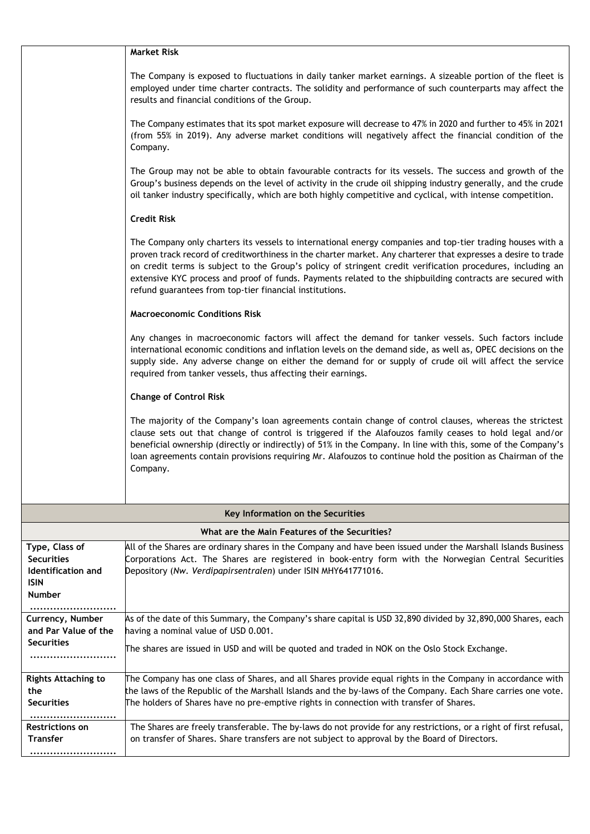|                                                                                           | <b>Market Risk</b>                                                                                                                                                                                                                                                                                                                                                                                                                                                                                                |
|-------------------------------------------------------------------------------------------|-------------------------------------------------------------------------------------------------------------------------------------------------------------------------------------------------------------------------------------------------------------------------------------------------------------------------------------------------------------------------------------------------------------------------------------------------------------------------------------------------------------------|
|                                                                                           | The Company is exposed to fluctuations in daily tanker market earnings. A sizeable portion of the fleet is<br>employed under time charter contracts. The solidity and performance of such counterparts may affect the<br>results and financial conditions of the Group.                                                                                                                                                                                                                                           |
|                                                                                           | The Company estimates that its spot market exposure will decrease to 47% in 2020 and further to 45% in 2021<br>(from 55% in 2019). Any adverse market conditions will negatively affect the financial condition of the<br>Company.                                                                                                                                                                                                                                                                                |
|                                                                                           | The Group may not be able to obtain favourable contracts for its vessels. The success and growth of the<br>Group's business depends on the level of activity in the crude oil shipping industry generally, and the crude<br>oil tanker industry specifically, which are both highly competitive and cyclical, with intense competition.                                                                                                                                                                           |
|                                                                                           | <b>Credit Risk</b>                                                                                                                                                                                                                                                                                                                                                                                                                                                                                                |
|                                                                                           | The Company only charters its vessels to international energy companies and top-tier trading houses with a<br>proven track record of creditworthiness in the charter market. Any charterer that expresses a desire to trade<br>on credit terms is subject to the Group's policy of stringent credit verification procedures, including an<br>extensive KYC process and proof of funds. Payments related to the shipbuilding contracts are secured with<br>refund guarantees from top-tier financial institutions. |
|                                                                                           | <b>Macroeconomic Conditions Risk</b>                                                                                                                                                                                                                                                                                                                                                                                                                                                                              |
|                                                                                           | Any changes in macroeconomic factors will affect the demand for tanker vessels. Such factors include<br>international economic conditions and inflation levels on the demand side, as well as, OPEC decisions on the<br>supply side. Any adverse change on either the demand for or supply of crude oil will affect the service<br>required from tanker vessels, thus affecting their earnings.                                                                                                                   |
|                                                                                           | <b>Change of Control Risk</b>                                                                                                                                                                                                                                                                                                                                                                                                                                                                                     |
|                                                                                           | The majority of the Company's loan agreements contain change of control clauses, whereas the strictest<br>clause sets out that change of control is triggered if the Alafouzos family ceases to hold legal and/or<br>beneficial ownership (directly or indirectly) of 51% in the Company. In line with this, some of the Company's<br>loan agreements contain provisions requiring Mr. Alafouzos to continue hold the position as Chairman of the<br>Company.                                                     |
|                                                                                           |                                                                                                                                                                                                                                                                                                                                                                                                                                                                                                                   |
|                                                                                           | Key Information on the Securities                                                                                                                                                                                                                                                                                                                                                                                                                                                                                 |
|                                                                                           | What are the Main Features of the Securities?                                                                                                                                                                                                                                                                                                                                                                                                                                                                     |
| Type, Class of<br><b>Securities</b><br>Identification and<br><b>ISIN</b><br><b>Number</b> | All of the Shares are ordinary shares in the Company and have been issued under the Marshall Islands Business<br>Corporations Act. The Shares are registered in book-entry form with the Norwegian Central Securities<br>Depository (Nw. Verdipapirsentralen) under ISIN MHY641771016.                                                                                                                                                                                                                            |
|                                                                                           |                                                                                                                                                                                                                                                                                                                                                                                                                                                                                                                   |
| Currency, Number<br>and Par Value of the                                                  | As of the date of this Summary, the Company's share capital is USD 32,890 divided by 32,890,000 Shares, each<br>having a nominal value of USD 0.001.                                                                                                                                                                                                                                                                                                                                                              |
| <b>Securities</b>                                                                         | The shares are issued in USD and will be quoted and traded in NOK on the Oslo Stock Exchange.                                                                                                                                                                                                                                                                                                                                                                                                                     |
| <b>Rights Attaching to</b><br>the<br><b>Securities</b><br>. <b>.</b> .                    | The Company has one class of Shares, and all Shares provide equal rights in the Company in accordance with<br>the laws of the Republic of the Marshall Islands and the by-laws of the Company. Each Share carries one vote.<br>The holders of Shares have no pre-emptive rights in connection with transfer of Shares.                                                                                                                                                                                            |
| <b>Restrictions on</b><br><b>Transfer</b><br>                                             | The Shares are freely transferable. The by-laws do not provide for any restrictions, or a right of first refusal,<br>on transfer of Shares. Share transfers are not subject to approval by the Board of Directors.                                                                                                                                                                                                                                                                                                |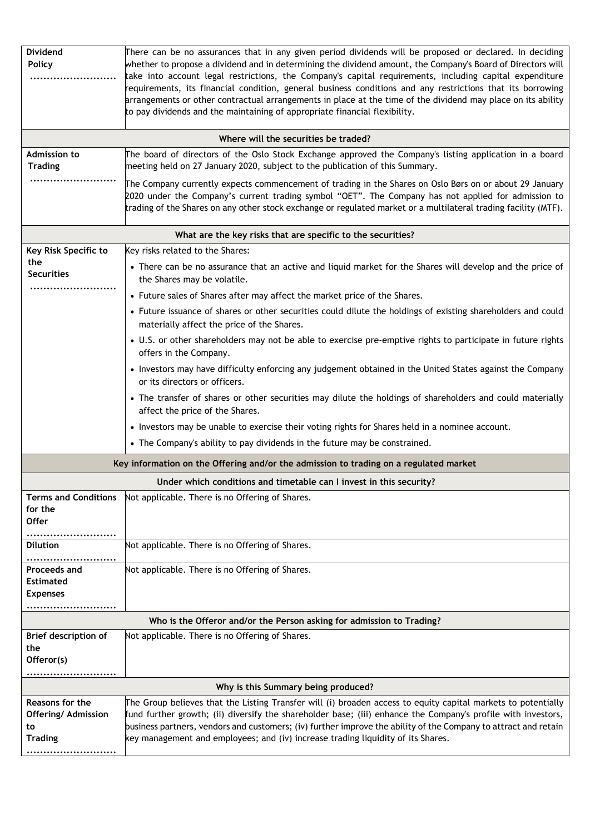| <b>Dividend</b><br><b>Policy</b><br>Admission to<br><b>Trading</b>    | There can be no assurances that in any given period dividends will be proposed or declared. In deciding<br>whether to propose a dividend and in determining the dividend amount, the Company's Board of Directors will<br>take into account legal restrictions, the Company's capital requirements, including capital expenditure<br>equirements, its financial condition, general business conditions and any restrictions that its borrowing<br>arrangements or other contractual arrangements in place at the time of the dividend may place on its ability<br>to pay dividends and the maintaining of appropriate financial flexibility.<br>Where will the securities be traded?<br>The board of directors of the Oslo Stock Exchange approved the Company's listing application in a board<br>meeting held on 27 January 2020, subject to the publication of this Summary.<br>The Company currently expects commencement of trading in the Shares on Oslo Børs on or about 29 January<br>2020 under the Company's current trading symbol "OET". The Company has not applied for admission to<br>trading of the Shares on any other stock exchange or regulated market or a multilateral trading facility (MTF). |
|-----------------------------------------------------------------------|----------------------------------------------------------------------------------------------------------------------------------------------------------------------------------------------------------------------------------------------------------------------------------------------------------------------------------------------------------------------------------------------------------------------------------------------------------------------------------------------------------------------------------------------------------------------------------------------------------------------------------------------------------------------------------------------------------------------------------------------------------------------------------------------------------------------------------------------------------------------------------------------------------------------------------------------------------------------------------------------------------------------------------------------------------------------------------------------------------------------------------------------------------------------------------------------------------------------|
|                                                                       | What are the key risks that are specific to the securities?                                                                                                                                                                                                                                                                                                                                                                                                                                                                                                                                                                                                                                                                                                                                                                                                                                                                                                                                                                                                                                                                                                                                                          |
| Key Risk Specific to                                                  | Key risks related to the Shares:                                                                                                                                                                                                                                                                                                                                                                                                                                                                                                                                                                                                                                                                                                                                                                                                                                                                                                                                                                                                                                                                                                                                                                                     |
| the<br><b>Securities</b>                                              | • There can be no assurance that an active and liquid market for the Shares will develop and the price of<br>the Shares may be volatile.                                                                                                                                                                                                                                                                                                                                                                                                                                                                                                                                                                                                                                                                                                                                                                                                                                                                                                                                                                                                                                                                             |
|                                                                       | • Future sales of Shares after may affect the market price of the Shares.                                                                                                                                                                                                                                                                                                                                                                                                                                                                                                                                                                                                                                                                                                                                                                                                                                                                                                                                                                                                                                                                                                                                            |
|                                                                       | • Future issuance of shares or other securities could dilute the holdings of existing shareholders and could<br>materially affect the price of the Shares.                                                                                                                                                                                                                                                                                                                                                                                                                                                                                                                                                                                                                                                                                                                                                                                                                                                                                                                                                                                                                                                           |
|                                                                       | • U.S. or other shareholders may not be able to exercise pre-emptive rights to participate in future rights<br>offers in the Company.                                                                                                                                                                                                                                                                                                                                                                                                                                                                                                                                                                                                                                                                                                                                                                                                                                                                                                                                                                                                                                                                                |
|                                                                       | • Investors may have difficulty enforcing any judgement obtained in the United States against the Company<br>or its directors or officers.                                                                                                                                                                                                                                                                                                                                                                                                                                                                                                                                                                                                                                                                                                                                                                                                                                                                                                                                                                                                                                                                           |
|                                                                       | • The transfer of shares or other securities may dilute the holdings of shareholders and could materially<br>affect the price of the Shares.                                                                                                                                                                                                                                                                                                                                                                                                                                                                                                                                                                                                                                                                                                                                                                                                                                                                                                                                                                                                                                                                         |
|                                                                       | • Investors may be unable to exercise their voting rights for Shares held in a nominee account.                                                                                                                                                                                                                                                                                                                                                                                                                                                                                                                                                                                                                                                                                                                                                                                                                                                                                                                                                                                                                                                                                                                      |
|                                                                       | • The Company's ability to pay dividends in the future may be constrained.                                                                                                                                                                                                                                                                                                                                                                                                                                                                                                                                                                                                                                                                                                                                                                                                                                                                                                                                                                                                                                                                                                                                           |
|                                                                       | Key information on the Offering and/or the admission to trading on a regulated market                                                                                                                                                                                                                                                                                                                                                                                                                                                                                                                                                                                                                                                                                                                                                                                                                                                                                                                                                                                                                                                                                                                                |
|                                                                       | Under which conditions and timetable can I invest in this security?                                                                                                                                                                                                                                                                                                                                                                                                                                                                                                                                                                                                                                                                                                                                                                                                                                                                                                                                                                                                                                                                                                                                                  |
| <b>Terms and Conditions</b><br>for the<br><b>Offer</b>                | Not applicable. There is no Offering of Shares.                                                                                                                                                                                                                                                                                                                                                                                                                                                                                                                                                                                                                                                                                                                                                                                                                                                                                                                                                                                                                                                                                                                                                                      |
| <b>Dilution</b>                                                       | Not applicable. There is no Offering of Shares.                                                                                                                                                                                                                                                                                                                                                                                                                                                                                                                                                                                                                                                                                                                                                                                                                                                                                                                                                                                                                                                                                                                                                                      |
| Proceeds and<br><b>Estimated</b><br><b>Expenses</b><br>               | Not applicable. There is no Offering of Shares.                                                                                                                                                                                                                                                                                                                                                                                                                                                                                                                                                                                                                                                                                                                                                                                                                                                                                                                                                                                                                                                                                                                                                                      |
| Who is the Offeror and/or the Person asking for admission to Trading? |                                                                                                                                                                                                                                                                                                                                                                                                                                                                                                                                                                                                                                                                                                                                                                                                                                                                                                                                                                                                                                                                                                                                                                                                                      |
| Brief description of<br>the<br>Offeror(s)<br>                         | Not applicable. There is no Offering of Shares.                                                                                                                                                                                                                                                                                                                                                                                                                                                                                                                                                                                                                                                                                                                                                                                                                                                                                                                                                                                                                                                                                                                                                                      |
|                                                                       | Why is this Summary being produced?                                                                                                                                                                                                                                                                                                                                                                                                                                                                                                                                                                                                                                                                                                                                                                                                                                                                                                                                                                                                                                                                                                                                                                                  |
| Reasons for the<br><b>Offering/ Admission</b><br>to<br><b>Trading</b> | The Group believes that the Listing Transfer will (i) broaden access to equity capital markets to potentially<br>fund further growth; (ii) diversify the shareholder base; (iii) enhance the Company's profile with investors,<br>business partners, vendors and customers; (iv) further improve the ability of the Company to attract and retain<br>key management and employees; and (iv) increase trading liquidity of its Shares.                                                                                                                                                                                                                                                                                                                                                                                                                                                                                                                                                                                                                                                                                                                                                                                |